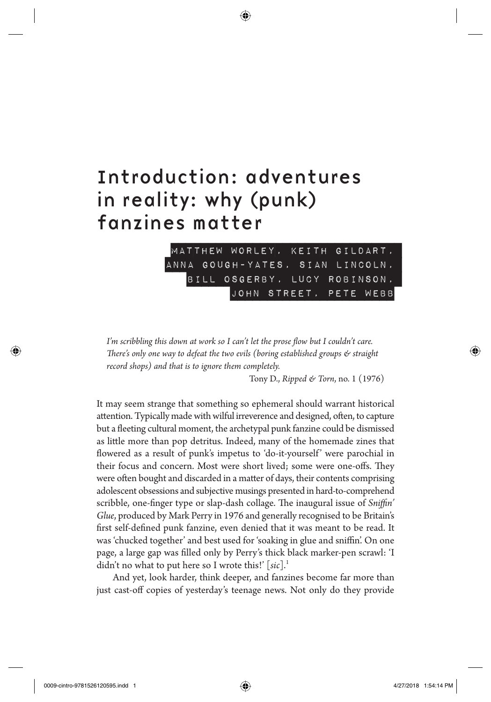# Introduction: adventures in reality: why (punk) fanzines matter

| MATTHEW WORLEY, KEITH GILDART,  |  |  |  |  |  |  |  |  |                              |  |  |  |  |  |
|---------------------------------|--|--|--|--|--|--|--|--|------------------------------|--|--|--|--|--|
| ANNA GOUGH-YATES, SIAN LINCOLN, |  |  |  |  |  |  |  |  |                              |  |  |  |  |  |
|                                 |  |  |  |  |  |  |  |  | BILL OSGERBY, LUCY ROBINSON, |  |  |  |  |  |
|                                 |  |  |  |  |  |  |  |  | JOHN STREET, PETE WEBB       |  |  |  |  |  |

*I'm scribbling this down at work so I can't let the prose flow but I couldn't care. There's only one way to defeat the two evils (boring established groups & straight record shops) and that is to ignore them completely.*

Tony D., *Ripped & Torn* , no. 1 (1976)

 It may seem strange that something so ephemeral should warrant historical attention. Typically made with wilful irreverence and designed, often, to capture but a fleeting cultural moment, the archetypal punk fanzine could be dismissed as little more than pop detritus. Indeed, many of the homemade zines that flowered as a result of punk's impetus to 'do-it-yourself' were parochial in their focus and concern. Most were short lived; some were one-offs. They were often bought and discarded in a matter of days, their contents comprising adolescent obsessions and subjective musings presented in hard-to-comprehend scribble, one-finger type or slap-dash collage. The inaugural issue of *Sniffin'* Glue, produced by Mark Perry in 1976 and generally recognised to be Britain's first self-defined punk fanzine, even denied that it was meant to be read. It was 'chucked together' and best used for 'soaking in glue and sniffin'. On one page, a large gap was filled only by Perry's thick black marker-pen scrawl: 'I didn't no what to put here so I wrote this!' [sic].<sup>1</sup>

 And yet, look harder, think deeper, and fanzines become far more than just cast-off copies of yesterday's teenage news. Not only do they provide

0009-cintro-9781526120595.indd 1 009-cintro-9781526120595.indd 4/27/2018 1:54:14 PM /27/2018

↔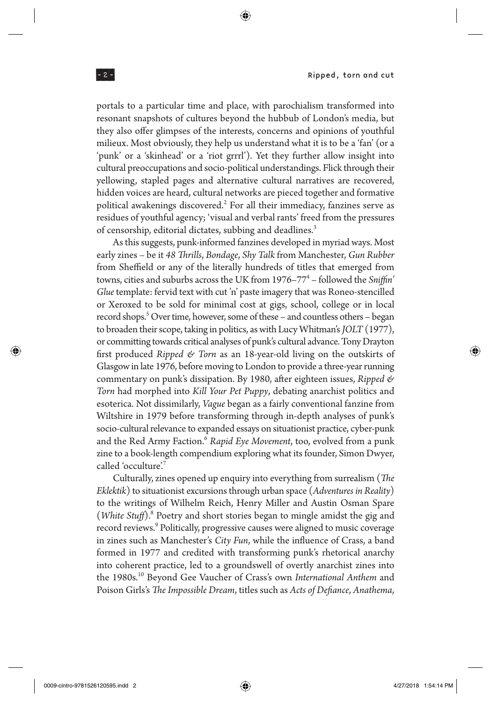portals to a particular time and place, with parochialism transformed into resonant snapshots of cultures beyond the hubbub of London's media, but they also offer glimpses of the interests, concerns and opinions of youthful milieux. Most obviously, they help us understand what it is to be a 'fan' (or a 'punk' or a 'skinhead' or a 'riot grrrl'). Yet they further allow insight into cultural preoccupations and socio-political understandings. Flick through their yellowing, stapled pages and alternative cultural narratives are recovered, hidden voices are heard, cultural networks are pieced together and formative political awakenings discovered.<sup>2</sup> For all their immediacy, fanzines serve as residues of youthful agency; 'visual and verbal rants' freed from the pressures of censorship, editorial dictates, subbing and deadlines.<sup>3</sup>

⊕

 As this suggests, punk-informed fanzines developed in myriad ways. Most early zines – be it *48 Th rills* , *Bondage* , *Shy Talk* from Manchester, *Gun Rubber* from Sheffield or any of the literally hundreds of titles that emerged from towns, cities and suburbs across the UK from 1976–77<sup>4</sup> – followed the Sniffin' *Glue* template: fervid text with cut 'n' paste imagery that was Roneo-stencilled or Xeroxed to be sold for minimal cost at gigs, school, college or in local record shops.<sup>5</sup> Over time, however, some of these – and countless others – began to broaden their scope, taking in politics, as with Lucy Whitman's *JOLT* (1977), or committing towards critical analyses of punk's cultural advance. Tony Drayton first produced *Ripped & Torn* as an 18-year-old living on the outskirts of Glasgow in late 1976, before moving to London to provide a three-year running commentary on punk's dissipation. By 1980, after eighteen issues, *Ripped & Torn* had morphed into *Kill Your Pet Puppy* , debating anarchist politics and esoterica. Not dissimilarly, *Vague* began as a fairly conventional fanzine from Wiltshire in 1979 before transforming through in-depth analyses of punk's socio-cultural relevance to expanded essays on situationist practice, cyber-punk and the Red Army Faction.<sup>6</sup> Rapid Eye Movement, too, evolved from a punk zine to a book-length compendium exploring what its founder, Simon Dwyer, called 'occulture'.<sup>7</sup>

Culturally, zines opened up enquiry into everything from surrealism (*The Eklektik* ) to situationist excursions through urban space ( *Adventures in Reality* ) to the writings of Wilhelm Reich, Henry Miller and Austin Osman Spare (White Stuff).<sup>8</sup> Poetry and short stories began to mingle amidst the gig and record reviews.<sup>9</sup> Politically, progressive causes were aligned to music coverage in zines such as Manchester's *City Fun*, while the influence of Crass, a band formed in 1977 and credited with transforming punk's rhetorical anarchy into coherent practice, led to a groundswell of overtly anarchist zines into the 1980s.<sup>10</sup> Beyond Gee Vaucher of Crass's own *International Anthem* and Poison Girls's *The Impossible Dream*, titles such as *Acts of Defiance*, *Anathema*,

↔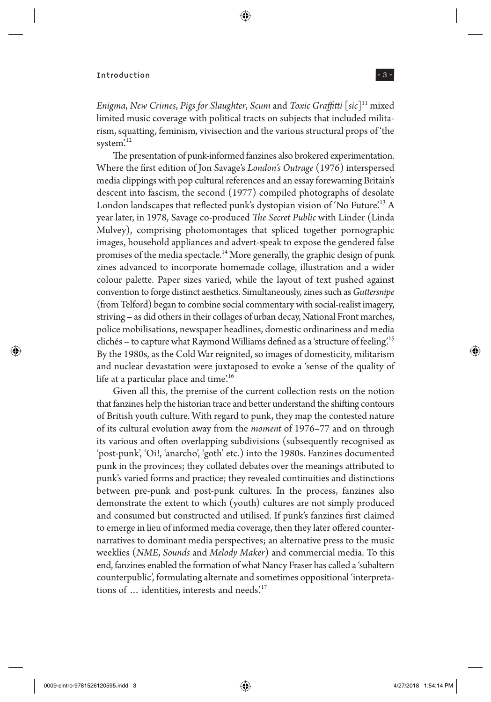*Enigma*, *New Crimes*, *Pigs for Slaughter*, *Scum* and *Toxic Graffitti* [sic]<sup>11</sup> mixed limited music coverage with political tracts on subjects that included militarism, squatting, feminism, vivisection and the various structural props of 'the system<sup>'12</sup>

⊕

The presentation of punk-informed fanzines also brokered experimentation. Where the first edition of Jon Savage's *London's Outrage* (1976) interspersed media clippings with pop cultural references and an essay forewarning Britain's descent into fascism, the second (1977) compiled photographs of desolate London landscapes that reflected punk's dystopian vision of 'No Future'.<sup>13</sup> A year later, in 1978, Savage co-produced *The Secret Public* with Linder (Linda Mulvey), comprising photomontages that spliced together pornographic images, household appliances and advert-speak to expose the gendered false promises of the media spectacle.<sup>14</sup> More generally, the graphic design of punk zines advanced to incorporate homemade collage, illustration and a wider colour palette. Paper sizes varied, while the layout of text pushed against convention to forge distinct aesthetics. Simultaneously, zines such as *Guttersnipe* (from Telford) began to combine social commentary with social-realist imagery, striving – as did others in their collages of urban decay, National Front marches, police mobilisations, newspaper headlines, domestic ordinariness and media  $\text{clicks}$  – to capture what Raymond Williams defined as a 'structure of feeling.<sup>15</sup> By the 1980s, as the Cold War reignited, so images of domesticity, militarism and nuclear devastation were juxtaposed to evoke a 'sense of the quality of life at a particular place and time.<sup>16</sup>

 Given all this, the premise of the current collection rests on the notion that fanzines help the historian trace and better understand the shifting contours of British youth culture. With regard to punk, they map the contested nature of its cultural evolution away from the *moment* of 1976–77 and on through its various and often overlapping subdivisions (subsequently recognised as 'post-punk', 'Oi!, 'anarcho', 'goth' etc.) into the 1980s. Fanzines documented punk in the provinces; they collated debates over the meanings attributed to punk's varied forms and practice; they revealed continuities and distinctions between pre-punk and post-punk cultures. In the process, fanzines also demonstrate the extent to which (youth) cultures are not simply produced and consumed but constructed and utilised. If punk's fanzines first claimed to emerge in lieu of informed media coverage, then they later offered counternarratives to dominant media perspectives; an alternative press to the music weeklies ( *NME* , *Sounds* and *Melody Maker* ) and commercial media. To this end, fanzines enabled the formation of what Nancy Fraser has called a 'subaltern counterpublic', formulating alternate and sometimes oppositional 'interpretations of  $\ldots$  identities, interests and needs.<sup>17</sup>

↔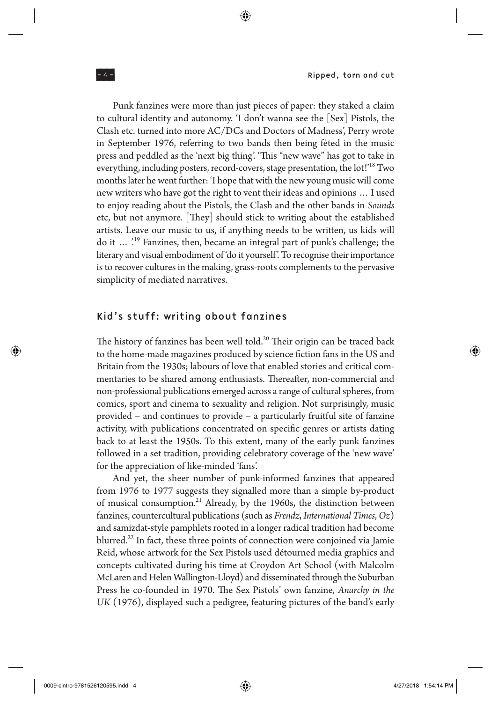-4- Ripped, torn and cut

 Punk fanzines were more than just pieces of paper: they staked a claim to cultural identity and autonomy. 'I don't wanna see the [Sex] Pistols, the Clash etc. turned into more AC/DCs and Doctors of Madness', Perry wrote in September 1976, referring to two bands then being fêted in the music press and peddled as the 'next big thing'. 'This "new wave" has got to take in everything, including posters, record-covers, stage presentation, the lot!'<sup>18</sup> Two months later he went further: 'I hope that with the new young music will come new writers who have got the right to vent their ideas and opinions … I used to enjoy reading about the Pistols, the Clash and the other bands in *Sounds* etc, but not anymore. [They] should stick to writing about the established artists. Leave our music to us, if anything needs to be written, us kids will do it  $\ldots$  <sup>'19</sup> Fanzines, then, became an integral part of punk's challenge; the literary and visual embodiment of 'do it yourself'. To recognise their importance is to recover cultures in the making, grass-roots complements to the pervasive simplicity of mediated narratives.

⊕

# Kid's stuff: writing about fanzines

The history of fanzines has been well told.<sup>20</sup> Their origin can be traced back to the home-made magazines produced by science fiction fans in the US and Britain from the 1930s; labours of love that enabled stories and critical commentaries to be shared among enthusiasts. Thereafter, non-commercial and non-professional publications emerged across a range of cultural spheres, from comics, sport and cinema to sexuality and religion. Not surprisingly, music provided – and continues to provide – a particularly fruitful site of fanzine activity, with publications concentrated on specific genres or artists dating back to at least the 1950s. To this extent, many of the early punk fanzines followed in a set tradition, providing celebratory coverage of the 'new wave' for the appreciation of like-minded 'fans'.

 And yet, the sheer number of punk-informed fanzines that appeared from 1976 to 1977 suggests they signalled more than a simple by-product of musical consumption.<sup>21</sup> Already, by the 1960s, the distinction between fanzines, countercultural publications (such as *Frendz* , *International Times* , *Oz* ) and samizdat-style pamphlets rooted in a longer radical tradition had become blurred. $^{22}$  In fact, these three points of connection were conjoined via Jamie Reid, whose artwork for the Sex Pistols used détourned media graphics and concepts cultivated during his time at Croydon Art School (with Malcolm McLaren and Helen Wallington-Lloyd) and disseminated through the Suburban Press he co-founded in 1970. The Sex Pistols' own fanzine, *Anarchy in the UK* (1976), displayed such a pedigree, featuring pictures of the band's early

↔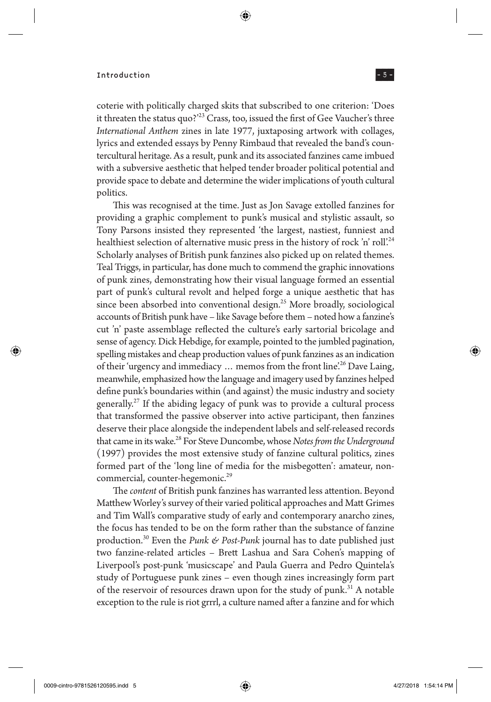coterie with politically charged skits that subscribed to one criterion: 'Does it threaten the status quo?'<sup>23</sup> Crass, too, issued the first of Gee Vaucher's three *International Anthem* zines in late 1977, juxtaposing artwork with collages, lyrics and extended essays by Penny Rimbaud that revealed the band's countercultural heritage. As a result, punk and its associated fanzines came imbued with a subversive aesthetic that helped tender broader political potential and provide space to debate and determine the wider implications of youth cultural politics.

⊕

This was recognised at the time. Just as Jon Savage extolled fanzines for providing a graphic complement to punk's musical and stylistic assault, so Tony Parsons insisted they represented 'the largest, nastiest, funniest and healthiest selection of alternative music press in the history of rock 'n' roll'.<sup>24</sup> Scholarly analyses of British punk fanzines also picked up on related themes. Teal Triggs, in particular, has done much to commend the graphic innovations of punk zines, demonstrating how their visual language formed an essential part of punk's cultural revolt and helped forge a unique aesthetic that has since been absorbed into conventional design.<sup>25</sup> More broadly, sociological accounts of British punk have - like Savage before them - noted how a fanzine's cut 'n' paste assemblage reflected the culture's early sartorial bricolage and sense of agency. Dick Hebdige, for example, pointed to the jumbled pagination, spelling mistakes and cheap production values of punk fanzines as an indication of their 'urgency and immediacy ... memos from the front line'.<sup>26</sup> Dave Laing, meanwhile, emphasized how the language and imagery used by fanzines helped define punk's boundaries within (and against) the music industry and society generally.<sup>27</sup> If the abiding legacy of punk was to provide a cultural process that transformed the passive observer into active participant, then fanzines deserve their place alongside the independent labels and self-released records that came in its wake.<sup>28</sup> For Steve Duncombe, whose *Notes from the Underground* (1997) provides the most extensive study of fanzine cultural politics, zines formed part of the 'long line of media for the misbegotten': amateur, noncommercial, counter-hegemonic.<sup>29</sup>

The *content* of British punk fanzines has warranted less attention. Beyond Matthew Worley's survey of their varied political approaches and Matt Grimes and Tim Wall's comparative study of early and contemporary anarcho zines, the focus has tended to be on the form rather than the substance of fanzine production. 30 Even the *Punk & Post-Punk* journal has to date published just two fanzine-related articles - Brett Lashua and Sara Cohen's mapping of Liverpool's post-punk 'musicscape' and Paula Guerra and Pedro Quintela's study of Portuguese punk zines – even though zines increasingly form part of the reservoir of resources drawn upon for the study of punk.<sup>31</sup> A notable exception to the rule is riot grrrl, a culture named after a fanzine and for which

↔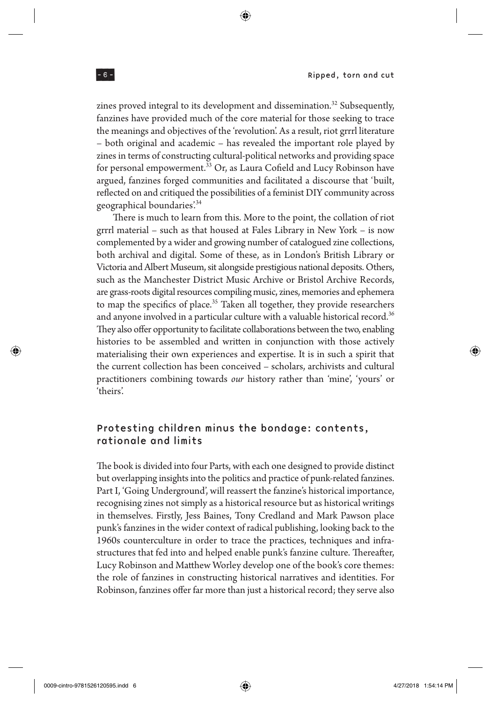-6- Ripped, torn and cut

zines proved integral to its development and dissemination.<sup>32</sup> Subsequently, fanzines have provided much of the core material for those seeking to trace the meanings and objectives of the 'revolution'. As a result, riot grrrl literature – both original and academic – has revealed the important role played by zines in terms of constructing cultural-political networks and providing space for personal empowerment.<sup>33</sup> Or, as Laura Cofield and Lucy Robinson have argued, fanzines forged communities and facilitated a discourse that 'built, reflected on and critiqued the possibilities of a feminist DIY community across geographical boundaries'.<sup>34</sup>

⊕

There is much to learn from this. More to the point, the collation of riot grrrl material – such as that housed at Fales Library in New York – is now complemented by a wider and growing number of catalogued zine collections, both archival and digital. Some of these, as in London's British Library or Victoria and Albert Museum, sit alongside prestigious national deposits. Others, such as the Manchester District Music Archive or Bristol Archive Records, are grass-roots digital resources compiling music, zines, memories and ephemera to map the specifics of place.<sup>35</sup> Taken all together, they provide researchers and anyone involved in a particular culture with a valuable historical record.<sup>36</sup> They also offer opportunity to facilitate collaborations between the two, enabling histories to be assembled and written in conjunction with those actively materialising their own experiences and expertise. It is in such a spirit that the current collection has been conceived – scholars, archivists and cultural practitioners combining towards *our* history rather than 'mine', 'yours' or 'theirs'.

# Protesting children minus the bondage: contents, rationale and limits

The book is divided into four Parts, with each one designed to provide distinct but overlapping insights into the politics and practice of punk-related fanzines. Part I, 'Going Underground', will reassert the fanzine's historical importance, recognising zines not simply as a historical resource but as historical writings in themselves. Firstly, Jess Baines, Tony Credland and Mark Pawson place punk's fanzines in the wider context of radical publishing, looking back to the 1960s counterculture in order to trace the practices, techniques and infrastructures that fed into and helped enable punk's fanzine culture. Thereafter, Lucy Robinson and Matthew Worley develop one of the book's core themes: the role of fanzines in constructing historical narratives and identities. For Robinson, fanzines offer far more than just a historical record; they serve also

↔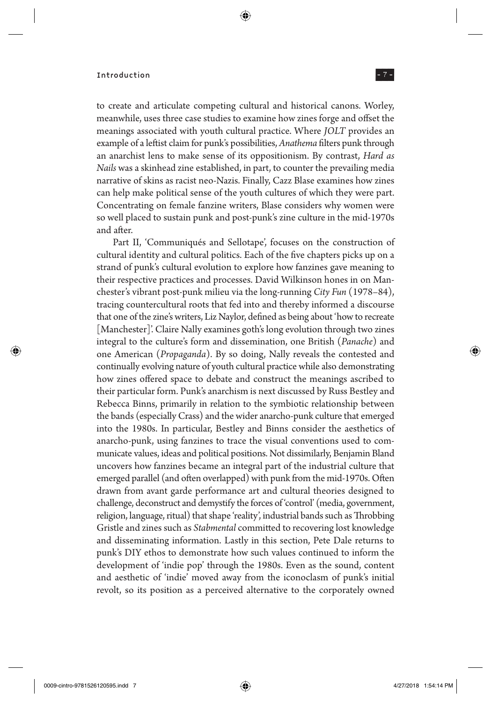to create and articulate competing cultural and historical canons. Worley, meanwhile, uses three case studies to examine how zines forge and offset the meanings associated with youth cultural practice. Where *JOLT* provides an example of a leftist claim for punk's possibilities, *Anathema* filters punk through an anarchist lens to make sense of its oppositionism. By contrast, *Hard as Nails* was a skinhead zine established, in part, to counter the prevailing media narrative of skins as racist neo-Nazis. Finally, Cazz Blase examines how zines can help make political sense of the youth cultures of which they were part. Concentrating on female fanzine writers, Blase considers why women were so well placed to sustain punk and post-punk's zine culture in the mid-1970s and after.

⊕

 Part II, 'Communiqués and Sellotape', focuses on the construction of cultural identity and cultural politics. Each of the five chapters picks up on a strand of punk's cultural evolution to explore how fanzines gave meaning to their respective practices and processes. David Wilkinson hones in on Manchester's vibrant post-punk milieu via the long-running *City Fun* (1978–84), tracing countercultural roots that fed into and thereby informed a discourse that one of the zine's writers, Liz Naylor, defined as being about 'how to recreate | Manchester | Claire Nally examines goth's long evolution through two zines integral to the culture's form and dissemination, one British (*Panache*) and one American ( *Propaganda* ). By so doing, Nally reveals the contested and continually evolving nature of youth cultural practice while also demonstrating how zines offered space to debate and construct the meanings ascribed to their particular form. Punk's anarchism is next discussed by Russ Bestley and Rebecca Binns, primarily in relation to the symbiotic relationship between the bands (especially Crass) and the wider anarcho-punk culture that emerged into the 1980s. In particular, Bestley and Binns consider the aesthetics of anarcho-punk, using fanzines to trace the visual conventions used to communicate values, ideas and political positions. Not dissimilarly, Benjamin Bland uncovers how fanzines became an integral part of the industrial culture that emerged parallel (and often overlapped) with punk from the mid-1970s. Often drawn from avant garde performance art and cultural theories designed to challenge, deconstruct and demystify the forces of 'control' (media, government, religion, language, ritual) that shape 'reality', industrial bands such as Throbbing Gristle and zines such as *Stabmental* committed to recovering lost knowledge and disseminating information. Lastly in this section, Pete Dale returns to punk's DIY ethos to demonstrate how such values continued to inform the development of 'indie pop' through the 1980s. Even as the sound, content and aesthetic of 'indie' moved away from the iconoclasm of punk's initial revolt, so its position as a perceived alternative to the corporately owned

↔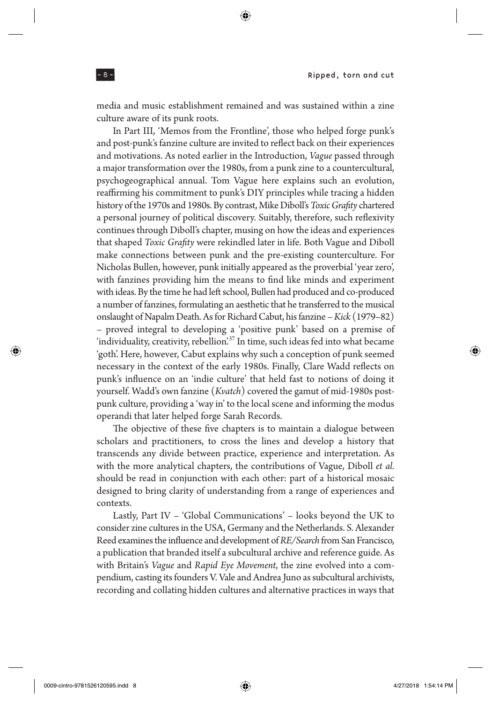media and music establishment remained and was sustained within a zine culture aware of its punk roots.

⊕

In Part III, 'Memos from the Frontline', those who helped forge punk's and post-punk's fanzine culture are invited to reflect back on their experiences and motivations. As noted earlier in the Introduction, *Vague* passed through a major transformation over the 1980s, from a punk zine to a countercultural, psychogeographical annual. Tom Vague here explains such an evolution, reaffirming his commitment to punk's DIY principles while tracing a hidden history of the 1970s and 1980s. By contrast, Mike Diboll's *Toxic Grafity* chartered a personal journey of political discovery. Suitably, therefore, such reflexivity continues through Diboll's chapter, musing on how the ideas and experiences that shaped *Toxic Grafity* were rekindled later in life. Both Vague and Diboll make connections between punk and the pre-existing counterculture. For Nicholas Bullen, however, punk initially appeared as the proverbial 'year zero', with fanzines providing him the means to find like minds and experiment with ideas. By the time he had left school, Bullen had produced and co-produced a number of fanzines, formulating an aesthetic that he transferred to the musical onslaught of Napalm Death. As for Richard Cabut, his fanzine – *Kick* (1979–82) – proved integral to developing a 'positive punk' based on a premise of 'individuality, creativity, rebellion'.<sup>37</sup> In time, such ideas fed into what became 'goth'. Here, however, Cabut explains why such a conception of punk seemed necessary in the context of the early 1980s. Finally, Clare Wadd reflects on punk's influence on an 'indie culture' that held fast to notions of doing it yourself. Wadd's own fanzine (*Kvatch*) covered the gamut of mid-1980s postpunk culture, providing a 'way in' to the local scene and informing the modus operandi that later helped forge Sarah Records.

The objective of these five chapters is to maintain a dialogue between scholars and practitioners, to cross the lines and develop a history that transcends any divide between practice, experience and interpretation. As with the more analytical chapters, the contributions of Vague, Diboll *et al.* should be read in conjunction with each other: part of a historical mosaic designed to bring clarity of understanding from a range of experiences and contexts.

 Lastly, Part IV – 'Global Communications' – looks beyond the UK to consider zine cultures in the USA, Germany and the Netherlands. S. Alexander Reed examines the influence and development of *RE/Search* from San Francisco, a publication that branded itself a subcultural archive and reference guide. As with Britain's *Vague* and *Rapid Eye Movement*, the zine evolved into a compendium, casting its founders V. Vale and Andrea Juno as subcultural archivists, recording and collating hidden cultures and alternative practices in ways that

 $\langle \spadesuit \rangle$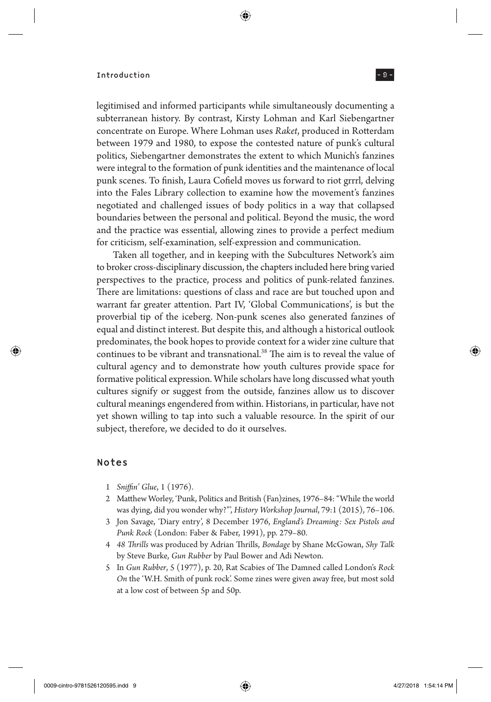legitimised and informed participants while simultaneously documenting a subterranean history. By contrast, Kirsty Lohman and Karl Siebengartner concentrate on Europe. Where Lohman uses *Raket*, produced in Rotterdam between 1979 and 1980, to expose the contested nature of punk's cultural politics, Siebengartner demonstrates the extent to which Munich's fanzines were integral to the formation of punk identities and the maintenance of local punk scenes. To finish, Laura Cofield moves us forward to riot grrrl, delving into the Fales Library collection to examine how the movement's fanzines negotiated and challenged issues of body politics in a way that collapsed boundaries between the personal and political. Beyond the music, the word and the practice was essential, allowing zines to provide a perfect medium for criticism, self-examination, self-expression and communication.

⊕

Taken all together, and in keeping with the Subcultures Network's aim to broker cross-disciplinary discussion, the chapters included here bring varied perspectives to the practice, process and politics of punk-related fanzines. There are limitations: questions of class and race are but touched upon and warrant far greater attention. Part IV, 'Global Communications', is but the proverbial tip of the iceberg. Non-punk scenes also generated fanzines of equal and distinct interest. But despite this, and although a historical outlook predominates, the book hopes to provide context for a wider zine culture that continues to be vibrant and transnational.<sup>38</sup> The aim is to reveal the value of cultural agency and to demonstrate how youth cultures provide space for formative political expression. While scholars have long discussed what youth cultures signify or suggest from the outside, fanzines allow us to discover cultural meanings engendered from within. Historians, in particular, have not yet shown willing to tap into such a valuable resource. In the spirit of our subject, therefore, we decided to do it ourselves.

#### Notes

 $\langle \spadesuit \rangle$ 

- 1 *Sniffin' Glue*, 1 (1976).
- 2 Matthew Worley, 'Punk, Politics and British (Fan)zines, 1976–84: "While the world was dying, did you wonder why?"', *History Workshop Journal* , 79:1 (2015), 76–106.
- 3 Jon Savage, 'Diary entry', 8 December 1976, *England ' s Dreaming: Sex Pistols and Punk Rock* (London: Faber & Faber, 1991), pp. 279–80.
- 4 *48 Th rills* was produced by Adrian Th rills, *Bondage* by Shane McGowan, *Shy Talk* by Steve Burke, *Gun Rubber* by Paul Bower and Adi Newton.
- 5 In *Gun Rubber*, 5 (1977), p. 20, Rat Scabies of The Damned called London's Rock *On* the 'W.H. Smith of punk rock'. Some zines were given away free, but most sold at a low cost of between 5p and 50p.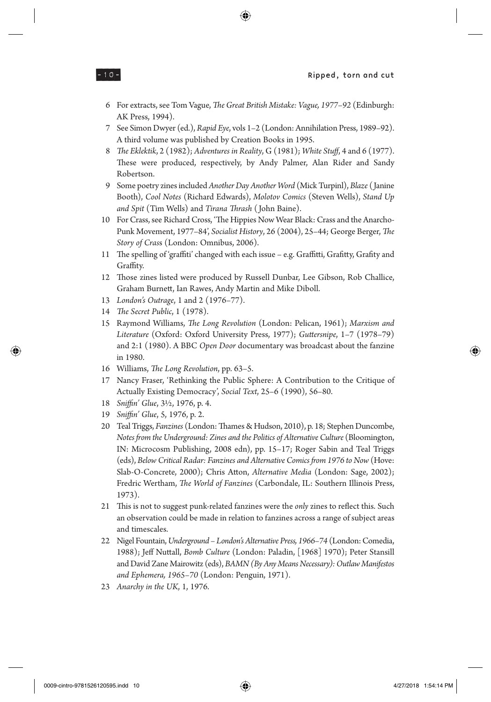# -10- Ripped, torn and cut

- 6 For extracts, see Tom Vague, *Th e Great British Mistake: Vague, 1977–92* (Edinburgh: AK Press, 1994).
- 7 See Simon Dwyer (ed.), *Rapid Eye* , vols 1–2 (London: Annihilation Press, 1989–92). A third volume was published by Creation Books in 1995.
- 8 *Th e Eklektik* , 2 (1982); *Adventures in Reality* , G (1981); *White Stuff* , 4 and 6 (1977). These were produced, respectively, by Andy Palmer, Alan Rider and Sandy Robertson.
- 9 Some poetry zines included *Another Day Another Word* (Mick Turpinl), *Blaze* ( Janine Booth), *Cool Notes* (Richard Edwards), *Molotov Comics* (Steven Wells), *Stand Up*  and Spit (Tim Wells) and *Tirana Thrash* (John Baine).
- 10 For Crass, see Richard Cross, 'The Hippies Now Wear Black: Crass and the Anarcho-Punk Movement, 1977–84', *Socialist History*, 26 (2004), 25–44; George Berger, *The Story of Crass (London: Omnibus, 2006).*
- 11 The spelling of 'graffiti' changed with each issue e.g. Graffitti, Grafitty, Grafity and Graffity.
- 12 Those zines listed were produced by Russell Dunbar, Lee Gibson, Rob Challice, Graham Burnett, Ian Rawes, Andy Martin and Mike Diboll.
- 13 *London's Outrage*, 1 and 2 (1976–77).
- 14 *The Secret Public*, 1 (1978).
- 15 Raymond Williams, *The Long Revolution* (London: Pelican, 1961); *Marxism and Literature* (Oxford: Oxford University Press, 1977); *Guttersnipe*, 1–7 (1978–79) and 2:1 (1980). A BBC *Open Door* documentary was broadcast about the fanzine in 1980.
- 16 Williams, *The Long Revolution*, pp. 63-5.
- 17 Nancy Fraser, 'Rethinking the Public Sphere: A Contribution to the Critique of Actually Existing Democracy', *Social Text*, 25-6 (1990), 56-80.
- 18 *Sniffin' Glue*, 3½, 1976, p. 4.
- 19 *Sniffin' Glue*, 5, 1976, p. 2.
- 20 Teal Triggs, *Fanzines* (London: Thames & Hudson, 2010), p. 18; Stephen Duncombe, *Notes from the Underground: Zines and the Politics of Alternative Culture* (Bloomington, IN: Microcosm Publishing, 2008 edn), pp. 15–17; Roger Sabin and Teal Triggs (eds), *Below Critical Radar: Fanzines and Alternative Comics from 1976 to Now* (Hove: Slab-O-Concrete, 2000); Chris Atton, *Alternative Media* (London: Sage, 2002); Fredric Wertham, *The World of Fanzines* (Carbondale, IL: Southern Illinois Press, 1973).
- 21 This is not to suggest punk-related fanzines were the *only* zines to reflect this. Such an observation could be made in relation to fanzines across a range of subject areas and timescales.
- 22 Nigel Fountain, Underground London's Alternative Press, 1966-74 (London: Comedia, 1988); Jeff Nuttall, *Bomb Culture* (London: Paladin, [1968] 1970); Peter Stansill and David Zane Mairowitz (eds), *BAMN (By Any Means Necessary): Outlaw Manifestos and Ephemera, 1965–70* (London: Penguin, 1971).
- 23 Anarchy in the UK, 1, 1976.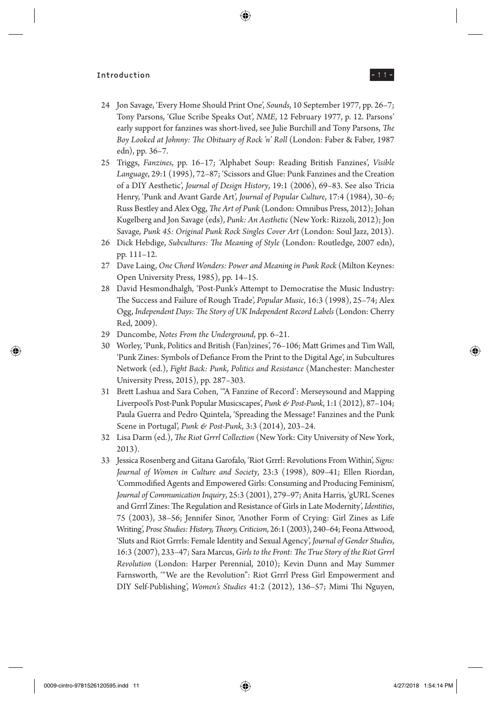#### Introduction and the contract of the contract of the contract of the contract of the contract of the contract of the contract of the contract of the contract of the contract of the contract of the contract of the contract

- 24 Jon Savage, 'Every Home Should Print One', *Sounds* , 10 September 1977, pp. 26–7; Tony Parsons, 'Glue Scribe Speaks Out', *NME*, 12 February 1977, p. 12. Parsons' early support for fanzines was short-lived, see Julie Burchill and Tony Parsons, *The* Boy Looked at Johnny: The Obituary of Rock 'n' Roll (London: Faber & Faber, 1987 edn), pp. 36–7.
- 25 Triggs, *Fanzines* , pp. 16–17; 'Alphabet Soup: Reading British Fanzines', *Visible Language* , 29:1 (1995), 72–87; 'Scissors and Glue: Punk Fanzines and the Creation of a DIY Aesthetic', *Journal of Design History* , 19:1 (2006), 69–83. See also Tricia Henry, 'Punk and Avant Garde Art', *Journal of Popular Culture*, 17:4 (1984), 30-6; Russ Bestley and Alex Ogg, *The Art of Punk* (London: Omnibus Press, 2012); Johan Kugelberg and Jon Savage (eds), *Punk: An Aesthetic* (New York: Rizzoli, 2012); Jon Savage, Punk 45: Original Punk Rock Singles Cover Art (London: Soul Jazz, 2013).
- 26 Dick Hebdige, *Subcultures: The Meaning of Style* (London: Routledge, 2007 edn), pp. 111–12.
- 27 Dave Laing, *One Chord Wonders: Power and Meaning in Punk Rock* (Milton Keynes: Open University Press, 1985), pp. 14–15.
- 28 David Hesmondhalgh, 'Post-Punk's Attempt to Democratise the Music Industry: The Success and Failure of Rough Trade', *Popular Music*, 16:3 (1998), 25-74; Alex Ogg, Independent Days: The Story of UK Independent Record Labels (London: Cherry Red, 2009).
- 29 Duncombe, *Notes From the Underground*, pp. 6-21.
- 30 Worley, 'Punk, Politics and British (Fan)zines', 76–106; Matt Grimes and Tim Wall, 'Punk Zines: Symbols of Defiance From the Print to the Digital Age', in Subcultures Network (ed.), *Fight Back: Punk, Politics and Resistance* (Manchester: Manchester University Press, 2015), pp. 287–303.
- 31 Brett Lashua and Sara Cohen, '"A Fanzine of Record': Merseysound and Mapping Liverpool's Post-Punk Popular Musicscapes', *Punk & Post-Punk*, 1:1 (2012), 87-104; Paula Guerra and Pedro Quintela, 'Spreading the Message! Fanzines and the Punk Scene in Portugal', *Punk & Post-Punk* , 3:3 (2014), 203–24.
- 32 Lisa Darm (ed.), *The Riot Grrrl Collection* (New York: City University of New York, 2013).
- 33 Jessica Rosenberg and Gitana Garofalo, 'Riot Grrrl: Revolutions From Within', *Signs: Journal of Women in Culture and Society* , 23:3 (1998), 809–41; Ellen Riordan, 'Commodified Agents and Empowered Girls: Consuming and Producing Feminism', *Journal of Communication Inquiry* , 25:3 (2001), 279–97; Anita Harris, 'gURL Scenes and Grrrl Zines: The Regulation and Resistance of Girls in Late Modernity', *Identities*, 75 (2003), 38–56; Jennifer Sinor, 'Another Form of Crying: Girl Zines as Life Writing', Prose Studies: History, Theory, Criticism, 26:1 (2003), 240-64; Feona Attwood, 'Sluts and Riot Grrrls: Female Identity and Sexual Agency', *Journal of Gender Studies* , 16:3 (2007), 233-47; Sara Marcus, *Girls to the Front: The True Story of the Riot Grrrl Revolution* (London: Harper Perennial, 2010); Kevin Dunn and May Summer Farnsworth, '"We are the Revolution": Riot Grrrl Press Girl Empowerment and DIY Self-Publishing', *Women's Studies* 41:2 (2012), 136–57; Mimi Thi Nguyen,

⊕